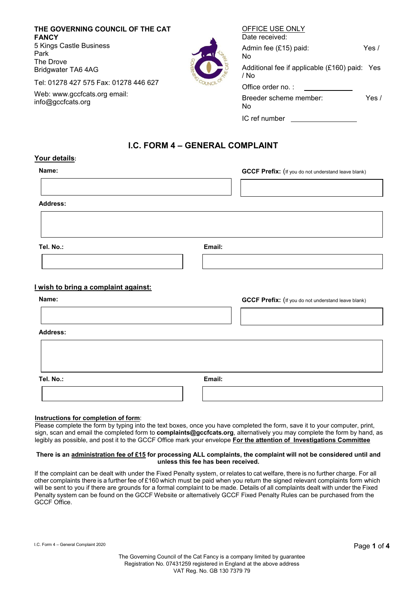**THE GOVERNING COUNCIL OF THE CAT FANCY** 5 Kings Castle Business Park The Drove Bridgwater TA6 4AG

Tel: 01278 427 575 Fax: 01278 446 627

Web: [www.gccfcats.org e](http://www.gccfcats.org/)mail: [info@gccfcats.org](mailto:info@gccfcats.org)

| OFFICE USE ONLY<br>Date received:                     |       |
|-------------------------------------------------------|-------|
| Admin fee (£15) paid:<br>N٥                           | Yes / |
| Additional fee if applicable (£160) paid: Yes<br>/ No |       |
| Office order no.:                                     |       |
| Breeder scheme member:<br>N٥                          | Yes / |
| IC ref number                                         |       |

# **I.C. FORM 4 – GENERAL COMPLAINT**

### **Your details:**

| <b>GCCF Prefix:</b> (If you do not understand leave blank) |
|------------------------------------------------------------|
|                                                            |

**Address:**

**Tel. No.: Email:**

# **I wish to bring a complaint against:**

| Name:           |        | <b>GCCF Prefix:</b> (If you do not understand leave blank) |
|-----------------|--------|------------------------------------------------------------|
| <b>Address:</b> |        |                                                            |
|                 |        |                                                            |
| Tel. No.:       | Email: |                                                            |
|                 |        |                                                            |

### **Instructions for completion of form**:

Please complete the form by typing into the text boxes, once you have completed the form, save it to your computer, print, sign, scan and email the completed form to **complaints@gccfcats.org**, alternatively you may complete the form by hand, as legibly as possible, and post it to the GCCF Office mark your envelope **For the attention of Investigations Committee**

#### **There is an administration fee of £15 for processing ALL complaints, the complaint will not be considered until and unless this fee has been received.**

If the complaint can be dealt with under the Fixed Penalty system, or relates to cat welfare, there is no further charge. For all other complaints there is a further fee of £160 which must be paid when you return the signed relevant complaints form which will be sent to you if there are grounds for a formal complaint to be made. Details of all complaints dealt with under the Fixed Penalty system can be found on the GCCF Website or alternatively GCCF Fixed Penalty Rules can be purchased from the GCCF Office.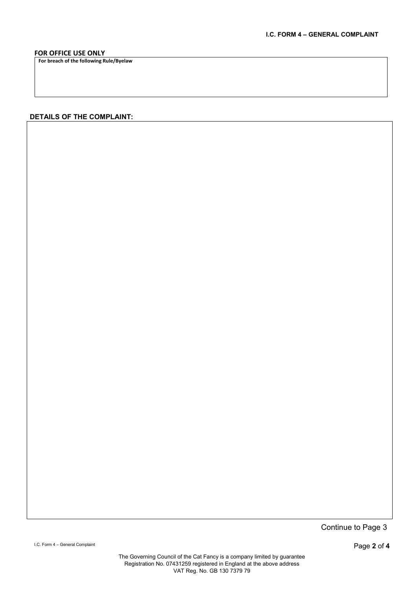## **FOR OFFICE USE ONLY**

**For breach of the following Rule/Byelaw**

## **DETAILS OF THE COMPLAINT:**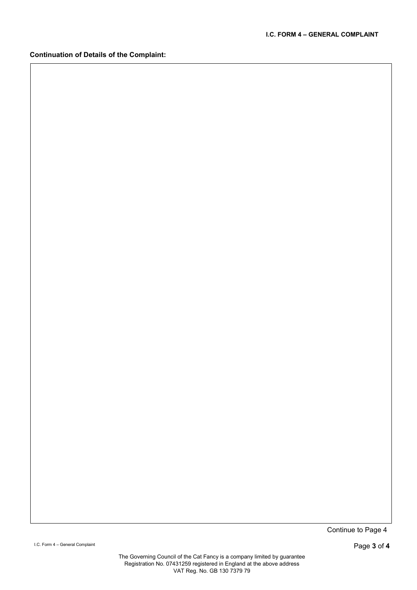**Continuation of Details of the Complaint:**